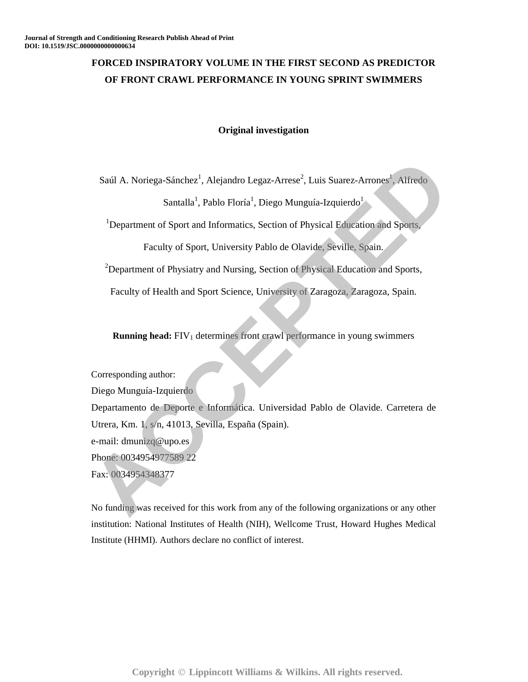# **FORCED INSPIRATORY VOLUME IN THE FIRST SECOND AS PREDICTOR OF FRONT CRAWL PERFORMANCE IN YOUNG SPRINT SWIMMERS**

## **Original investigation**

Saúl A. Noriega-Sánchez<sup>1</sup>, Alejandro Legaz-Arrese<sup>2</sup>, Luis Suarez-Arrones<sup>1</sup>, Alfredo

Santalla<sup>1</sup>, Pablo Floría<sup>1</sup>, Diego Munguía-Izquierdo<sup>1</sup>

<sup>1</sup>Department of Sport and Informatics, Section of Physical Education and Sports,

Faculty of Sport, University Pablo de Olavide, Seville, Spain.

 $2$ Department of Physiatry and Nursing, Section of Physical Education and Sports,

Faculty of Health and Sport Science, University of Zaragoza, Zaragoza, Spain.

**Running head:** FIV<sub>1</sub> determines front crawl performance in young swimmers

Corresponding author:

Diego Munguía-Izquierdo

Departamento de Deporte e Informática. Universidad Pablo de Olavide. Carretera de Utrera, Km. 1, s/n, 41013, Sevilla, España (Spain). e-mail: dmunizq@upo.es Saúl A. Noricga-Sánchcz<sup>1</sup>, Alcjandro Legaz-Arresc<sup>2</sup>, Luis Suarcz-Arrones<sup>1</sup>, Alfredo<br>
Santalla<sup>1</sup>, Pablo Florfa<sup>1</sup>, Diego Munguía-Izquierdo<sup>1</sup><br>
<sup>1</sup> Department of Sport, and Informatics, Section of Physical Education and

Phone: 0034954977589 22

Fax: 0034954348377

No funding was received for this work from any of the following organizations or any other institution: National Institutes of Health (NIH), Wellcome Trust, Howard Hughes Medical Institute (HHMI). Authors declare no conflict of interest.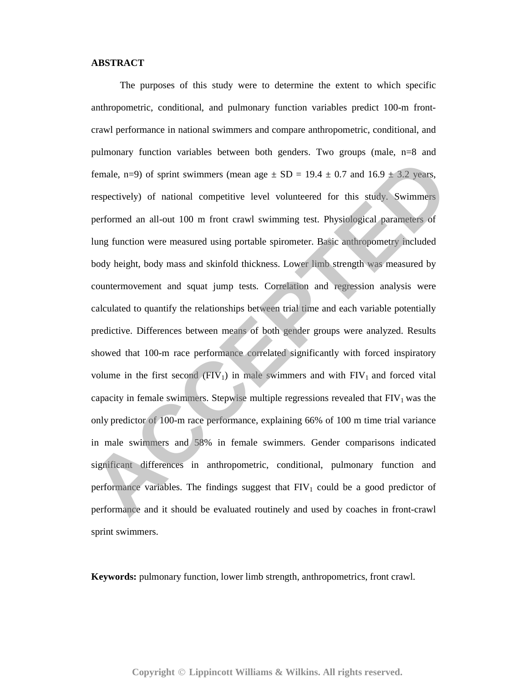### **ABSTRACT**

 The purposes of this study were to determine the extent to which specific anthropometric, conditional, and pulmonary function variables predict 100-m frontcrawl performance in national swimmers and compare anthropometric, conditional, and pulmonary function variables between both genders. Two groups (male, n=8 and female, n=9) of sprint swimmers (mean age  $\pm$  SD = 19.4  $\pm$  0.7 and 16.9  $\pm$  3.2 years, respectively) of national competitive level volunteered for this study. Swimmers performed an all-out 100 m front crawl swimming test. Physiological parameters of lung function were measured using portable spirometer. Basic anthropometry included body height, body mass and skinfold thickness. Lower limb strength was measured by countermovement and squat jump tests. Correlation and regression analysis were calculated to quantify the relationships between trial time and each variable potentially predictive. Differences between means of both gender groups were analyzed. Results showed that 100-m race performance correlated significantly with forced inspiratory volume in the first second  $(FIV_1)$  in male swimmers and with  $FIV_1$  and forced vital capacity in female swimmers. Stepwise multiple regressions revealed that  $FIV_1$  was the only predictor of 100-m race performance, explaining 66% of 100 m time trial variance in male swimmers and 58% in female swimmers. Gender comparisons indicated significant differences in anthropometric, conditional, pulmonary function and performance variables. The findings suggest that  $FIV<sub>1</sub>$  could be a good predictor of performance and it should be evaluated routinely and used by coaches in front-crawl sprint swimmers. framale, n=9) of sprint swimmers (mean age  $\pm$  SD = 19.4  $\pm$  0.7 and 16.9  $\pm$  3.2 years, respectively) of national competitive level volunteered for this study. Swimmers performed an all-out 100 m front crawl swimming

**Keywords:** pulmonary function, lower limb strength, anthropometrics, front crawl.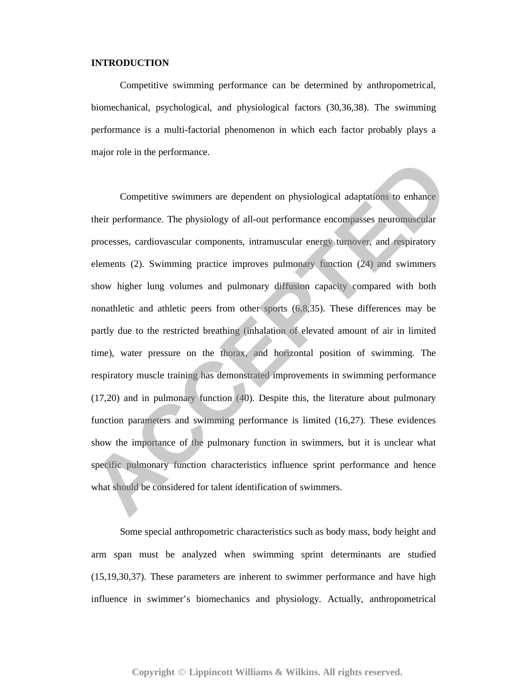## **INTRODUCTION**

 Competitive swimming performance can be determined by anthropometrical, biomechanical, psychological, and physiological factors (30,36,38). The swimming performance is a multi-factorial phenomenon in which each factor probably plays a major role in the performance.

Competitive swimmers are dependent on physiological adaptations to enhance their performance. The physiology of all-out performance encompasses neuromuscular processes, cardiovascular components, intramuscular energy turnover, and respiratory elements (2). Swimming practice improves pulmonary function (24) and swimmers show higher lung volumes and pulmonary diffusion capacity compared with both nonathletic and athletic peers from other sports (6,8,35). These differences may be partly due to the restricted breathing (inhalation of elevated amount of air in limited time), water pressure on the thorax, and horizontal position of swimming. The respiratory muscle training has demonstrated improvements in swimming performance (17,20) and in pulmonary function (40). Despite this, the literature about pulmonary function parameters and swimming performance is limited (16,27). These evidences show the importance of the pulmonary function in swimmers, but it is unclear what specific pulmonary function characteristics influence sprint performance and hence what should be considered for talent identification of swimmers. Competitive swimmers are dependent on physiological adaptations to enhance<br>their performance. The physiology of all-out performance encompasses neuromascular<br>processes, cardiovascular components, intranuscular energy unrov

 Some special anthropometric characteristics such as body mass, body height and arm span must be analyzed when swimming sprint determinants are studied (15,19,30,37). These parameters are inherent to swimmer performance and have high influence in swimmer's biomechanics and physiology. Actually, anthropometrical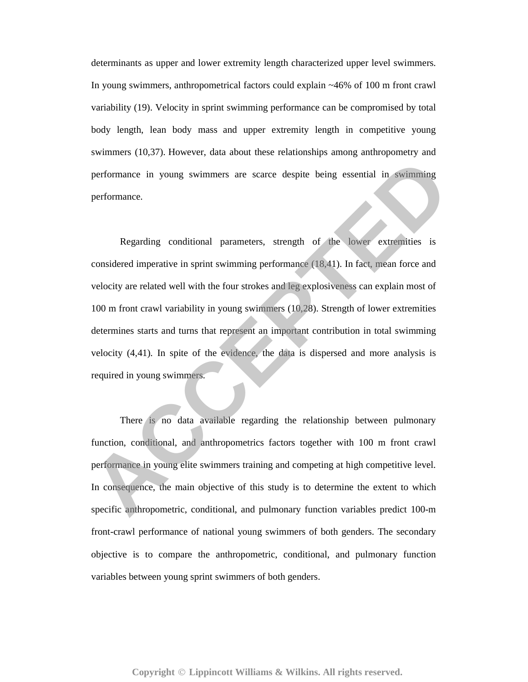determinants as upper and lower extremity length characterized upper level swimmers. In young swimmers, anthropometrical factors could explain ~46% of 100 m front crawl variability (19). Velocity in sprint swimming performance can be compromised by total body length, lean body mass and upper extremity length in competitive young swimmers (10,37). However, data about these relationships among anthropometry and performance in young swimmers are scarce despite being essential in swimming performance.

 Regarding conditional parameters, strength of the lower extremities is considered imperative in sprint swimming performance (18,41). In fact, mean force and velocity are related well with the four strokes and leg explosiveness can explain most of 100 m front crawl variability in young swimmers (10,28). Strength of lower extremities determines starts and turns that represent an important contribution in total swimming velocity (4,41). In spite of the evidence, the data is dispersed and more analysis is required in young swimmers. **Example 18 To 19 To 19 To 19 To 19 To 19 To 19 To 19 To 19 To 19 To 19 To 19 To 19 To 19 To 19 To 19 To 19 To 19 To 19 To 19 To 19 To 19 To 19 To 19 To 19 To 19 To 19 To 19 To 19 To 19 To 19 To 19 To 19 To 19 To 19 To 19** 

 There is no data available regarding the relationship between pulmonary function, conditional, and anthropometrics factors together with 100 m front crawl performance in young elite swimmers training and competing at high competitive level. In consequence, the main objective of this study is to determine the extent to which specific anthropometric, conditional, and pulmonary function variables predict 100-m front-crawl performance of national young swimmers of both genders. The secondary objective is to compare the anthropometric, conditional, and pulmonary function variables between young sprint swimmers of both genders.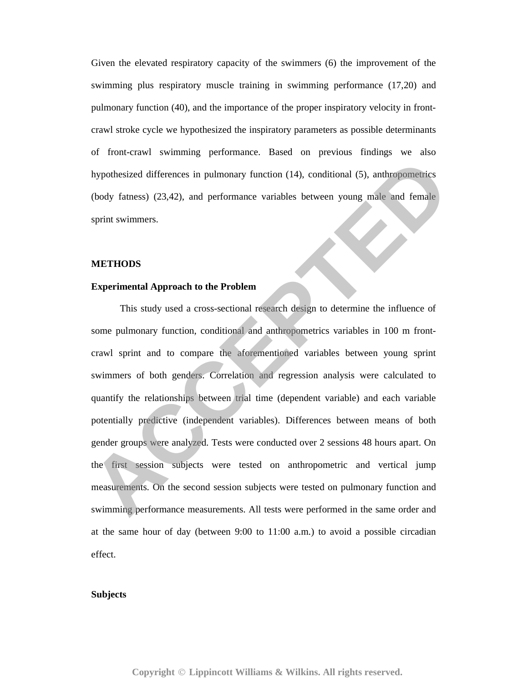Given the elevated respiratory capacity of the swimmers (6) the improvement of the swimming plus respiratory muscle training in swimming performance (17,20) and pulmonary function (40), and the importance of the proper inspiratory velocity in frontcrawl stroke cycle we hypothesized the inspiratory parameters as possible determinants of front-crawl swimming performance. Based on previous findings we also hypothesized differences in pulmonary function (14), conditional (5), anthropometrics (body fatness) (23,42), and performance variables between young male and female sprint swimmers.

#### **METHODS**

## **Experimental Approach to the Problem**

 This study used a cross-sectional research design to determine the influence of some pulmonary function, conditional and anthropometrics variables in 100 m frontcrawl sprint and to compare the aforementioned variables between young sprint swimmers of both genders. Correlation and regression analysis were calculated to quantify the relationships between trial time (dependent variable) and each variable potentially predictive (independent variables). Differences between means of both gender groups were analyzed. Tests were conducted over 2 sessions 48 hours apart. On the first session subjects were tested on anthropometric and vertical jump measurements. On the second session subjects were tested on pulmonary function and swimming performance measurements. All tests were performed in the same order and at the same hour of day (between 9:00 to 11:00 a.m.) to avoid a possible circadian effect. **Experimental differences in pulmonary function (14), conditional (5), anthropometrics<br>
(hody fatness) (23,42), and performance variables between young male and female<br>
sprint swimmers.<br>
<b>ACCEPTEDODS**<br> **Experimental Approa** 

#### **Subjects**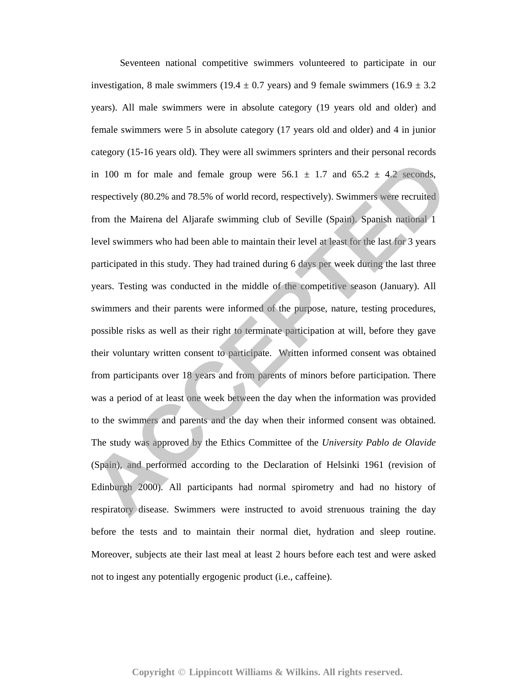Seventeen national competitive swimmers volunteered to participate in our investigation, 8 male swimmers (19.4  $\pm$  0.7 years) and 9 female swimmers (16.9  $\pm$  3.2 years). All male swimmers were in absolute category (19 years old and older) and female swimmers were 5 in absolute category (17 years old and older) and 4 in junior category (15-16 years old). They were all swimmers sprinters and their personal records in 100 m for male and female group were  $56.1 \pm 1.7$  and  $65.2 \pm 4.2$  seconds, respectively (80.2% and 78.5% of world record, respectively). Swimmers were recruited from the Mairena del Aljarafe swimming club of Seville (Spain). Spanish national 1 level swimmers who had been able to maintain their level at least for the last for 3 years participated in this study. They had trained during 6 days per week during the last three years. Testing was conducted in the middle of the competitive season (January). All swimmers and their parents were informed of the purpose, nature, testing procedures, possible risks as well as their right to terminate participation at will, before they gave their voluntary written consent to participate. Written informed consent was obtained from participants over 18 years and from parents of minors before participation. There was a period of at least one week between the day when the information was provided to the swimmers and parents and the day when their informed consent was obtained. The study was approved by the Ethics Committee of the *University Pablo de Olavide*  (Spain), and performed according to the Declaration of Helsinki 1961 (revision of Edinburgh 2000). All participants had normal spirometry and had no history of respiratory disease. Swimmers were instructed to avoid strenuous training the day before the tests and to maintain their normal diet, hydration and sleep routine. Moreover, subjects ate their last meal at least 2 hours before each test and were asked not to ingest any potentially ergogenic product (i.e., caffeine). **ACCES** in 100 m for male and female group were 56.1 = 1.7 and 65.2 ± 4.2 seconds, respectively (80.2% and 78.5% of world record, respectively). Swimmers were recruited from the Mairena del Aljarafe swimming club of Sevil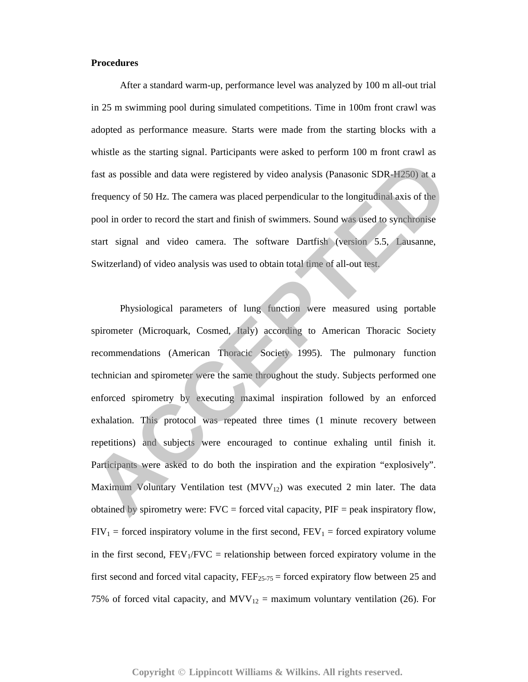## **Procedures**

 After a standard warm-up, performance level was analyzed by 100 m all-out trial in 25 m swimming pool during simulated competitions. Time in 100m front crawl was adopted as performance measure. Starts were made from the starting blocks with a whistle as the starting signal. Participants were asked to perform 100 m front crawl as fast as possible and data were registered by video analysis (Panasonic SDR-H250) at a frequency of 50 Hz. The camera was placed perpendicular to the longitudinal axis of the pool in order to record the start and finish of swimmers. Sound was used to synchronise start signal and video camera. The software Dartfish (version 5.5, Lausanne, Switzerland) of video analysis was used to obtain total time of all-out test.

Physiological parameters of lung function were measured using portable spirometer (Microquark, Cosmed, Italy) according to American Thoracic Society recommendations (American Thoracic Society 1995). The pulmonary function technician and spirometer were the same throughout the study. Subjects performed one enforced spirometry by executing maximal inspiration followed by an enforced exhalation. This protocol was repeated three times (1 minute recovery between repetitions) and subjects were encouraged to continue exhaling until finish it. Participants were asked to do both the inspiration and the expiration "explosively". Maximum Voluntary Ventilation test  $(MVV_{12})$  was executed 2 min later. The data obtained by spirometry were:  $FVC =$  forced vital capacity,  $PIF =$  peak inspiratory flow,  $FIV_1$  = forced inspiratory volume in the first second,  $FEV_1$  = forced expiratory volume in the first second,  $FEV_1/FVC$  = relationship between forced expiratory volume in the first second and forced vital capacity,  $FEF_{25-75}$  = forced expiratory flow between 25 and 75% of forced vital capacity, and  $MVV_{12}$  = maximum voluntary ventilation (26). For Fast as possible and data were registered by video analysis (Panasonic SDR-H250) at a<br>
frequency of 50 Hz. The camera was placed perpendicular to the longitudinal axis of the<br>
pool in order to record the start and finish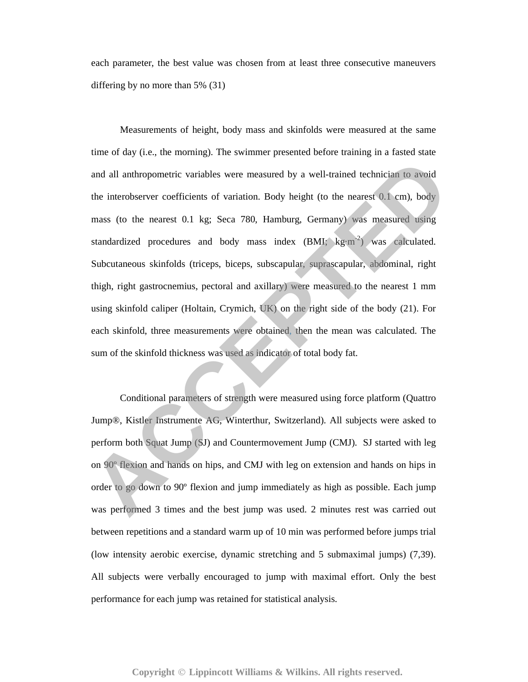each parameter, the best value was chosen from at least three consecutive maneuvers differing by no more than 5% (31)

 Measurements of height, body mass and skinfolds were measured at the same time of day (i.e., the morning). The swimmer presented before training in a fasted state and all anthropometric variables were measured by a well-trained technician to avoid the interobserver coefficients of variation. Body height (to the nearest 0.1 cm), body mass (to the nearest 0.1 kg; Seca 780, Hamburg, Germany) was measured using standardized procedures and body mass index  $(BMI; kg·m<sup>-2</sup>)$  was calculated. Subcutaneous skinfolds (triceps, biceps, subscapular, suprascapular, abdominal, right thigh, right gastrocnemius, pectoral and axillary) were measured to the nearest 1 mm using skinfold caliper (Holtain, Crymich, UK) on the right side of the body (21). For each skinfold, three measurements were obtained, then the mean was calculated. The sum of the skinfold thickness was used as indicator of total body fat. and all amhropometric variables were measured by a well-trained technicism to avoid<br>the interobserver coefficients of variation. Body height (to the nearest 0.1 cm), body<br>mass (to the nearest 0.1 kg; Seca 780, Hamburg, Ger

Conditional parameters of strength were measured using force platform (Quattro Jump®, Kistler Instrumente AG, Winterthur, Switzerland). All subjects were asked to perform both Squat Jump (SJ) and Countermovement Jump (CMJ). SJ started with leg on 90º flexion and hands on hips, and CMJ with leg on extension and hands on hips in order to go down to 90º flexion and jump immediately as high as possible. Each jump was performed 3 times and the best jump was used. 2 minutes rest was carried out between repetitions and a standard warm up of 10 min was performed before jumps trial (low intensity aerobic exercise, dynamic stretching and 5 submaximal jumps) (7,39). All subjects were verbally encouraged to jump with maximal effort. Only the best performance for each jump was retained for statistical analysis.

## Copyright © Lippincott Williams & Wilkins. All rights reserved.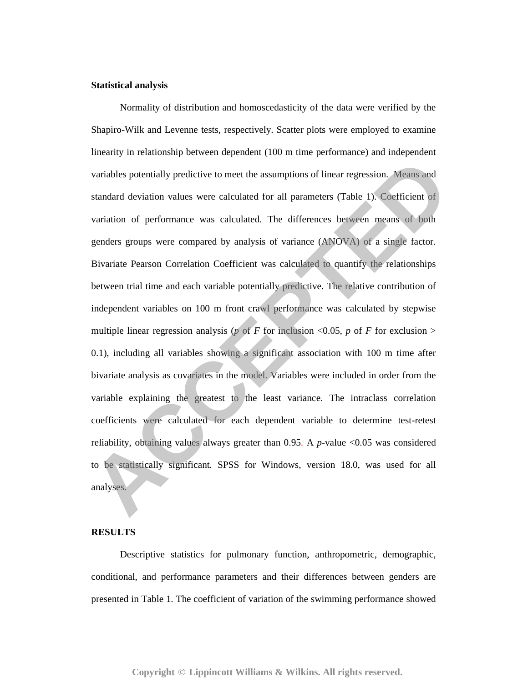## **Statistical analysis**

 Normality of distribution and homoscedasticity of the data were verified by the Shapiro-Wilk and Levenne tests, respectively. Scatter plots were employed to examine linearity in relationship between dependent (100 m time performance) and independent variables potentially predictive to meet the assumptions of linear regression. Means and standard deviation values were calculated for all parameters (Table 1). Coefficient of variation of performance was calculated. The differences between means of both genders groups were compared by analysis of variance (ANOVA) of a single factor. Bivariate Pearson Correlation Coefficient was calculated to quantify the relationships between trial time and each variable potentially predictive. The relative contribution of independent variables on 100 m front crawl performance was calculated by stepwise multiple linear regression analysis ( $p$  of *F* for inclusion <0.05,  $p$  of *F* for exclusion > 0.1), including all variables showing a significant association with 100 m time after bivariate analysis as covariates in the model. Variables were included in order from the variable explaining the greatest to the least variance. The intraclass correlation coefficients were calculated for each dependent variable to determine test-retest reliability, obtaining values always greater than 0.95. A *p*-value <0.05 was considered to be statistically significant. SPSS for Windows, version 18.0, was used for all analyses. variables potentially predictive to meet the assumptions of linear regression. Means and standard deviation values were calculated for all parameters (Table 1). Coefficient of variation of performance was calculated. The

## **RESULTS**

 Descriptive statistics for pulmonary function, anthropometric, demographic, conditional, and performance parameters and their differences between genders are presented in Table 1. The coefficient of variation of the swimming performance showed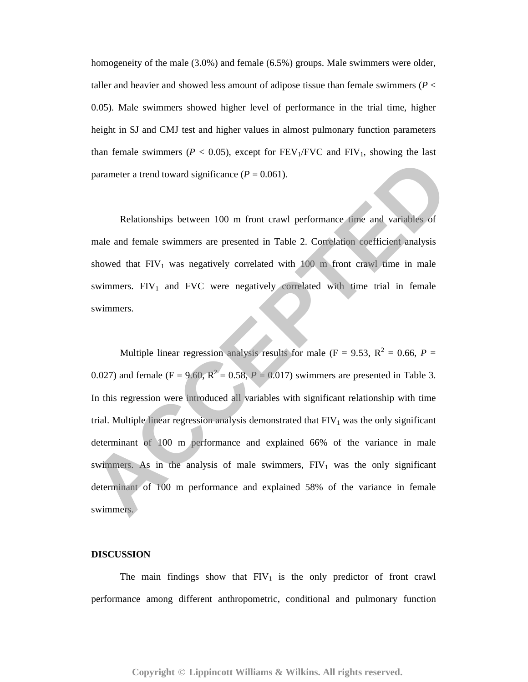homogeneity of the male (3.0%) and female (6.5%) groups. Male swimmers were older, taller and heavier and showed less amount of adipose tissue than female swimmers (*P* < 0.05). Male swimmers showed higher level of performance in the trial time, higher height in SJ and CMJ test and higher values in almost pulmonary function parameters than female swimmers ( $P < 0.05$ ), except for  $FEV<sub>1</sub>/FVC$  and  $FIV<sub>1</sub>$ , showing the last parameter a trend toward significance  $(P = 0.061)$ .

 Relationships between 100 m front crawl performance time and variables of male and female swimmers are presented in Table 2. Correlation coefficient analysis showed that  $FIV_1$  was negatively correlated with 100 m front crawl time in male swimmers.  $FIV_1$  and  $FVC$  were negatively correlated with time trial in female swimmers.

Multiple linear regression analysis results for male ( $F = 9.53$ ,  $R^2 = 0.66$ ,  $P =$ 0.027) and female ( $F = 9.60$ ,  $R^2 = 0.58$ ,  $P = 0.017$ ) swimmers are presented in Table 3. In this regression were introduced all variables with significant relationship with time trial. Multiple linear regression analysis demonstrated that  $FIV<sub>1</sub>$  was the only significant determinant of 100 m performance and explained 66% of the variance in male swimmers. As in the analysis of male swimmers,  $FIV_1$  was the only significant determinant of 100 m performance and explained 58% of the variance in female swimmers. parameter a trend toward significance  $(P = 0.061)$ .<br>
Relationships between 100 m front crawl performance time and variables of<br>
male and female swimmers are presented in Table 2. Corielation coefficient analysis<br>
showed th

#### **DISCUSSION**

The main findings show that  $FIV_1$  is the only predictor of front crawl performance among different anthropometric, conditional and pulmonary function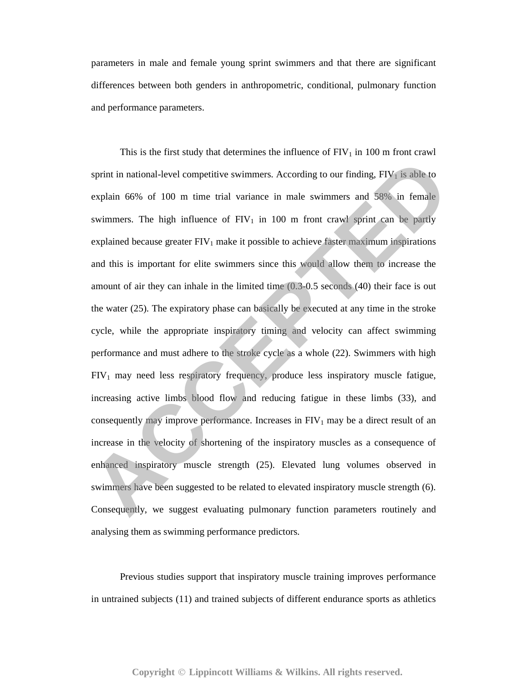parameters in male and female young sprint swimmers and that there are significant differences between both genders in anthropometric, conditional, pulmonary function and performance parameters.

This is the first study that determines the influence of  $FIV_1$  in 100 m front crawl sprint in national-level competitive swimmers. According to our finding,  $FIV<sub>1</sub>$  is able to explain 66% of 100 m time trial variance in male swimmers and 58% in female swimmers. The high influence of  $FIV_1$  in 100 m front crawl sprint can be partly explained because greater  $FIV_1$  make it possible to achieve faster maximum inspirations and this is important for elite swimmers since this would allow them to increase the amount of air they can inhale in the limited time (0.3-0.5 seconds (40) their face is out the water (25). The expiratory phase can basically be executed at any time in the stroke cycle, while the appropriate inspiratory timing and velocity can affect swimming performance and must adhere to the stroke cycle as a whole (22). Swimmers with high  $FIV_1$  may need less respiratory frequency, produce less inspiratory muscle fatigue, increasing active limbs blood flow and reducing fatigue in these limbs (33), and consequently may improve performance. Increases in  $FIV_1$  may be a direct result of an increase in the velocity of shortening of the inspiratory muscles as a consequence of enhanced inspiratory muscle strength (25). Elevated lung volumes observed in swimmers have been suggested to be related to elevated inspiratory muscle strength (6). Consequently, we suggest evaluating pulmonary function parameters routinely and analysing them as swimming performance predictors. sprint in national-level competitive swimmers. According to our finding, FIV<sub>1</sub> is able to explain 66% of 100 m time trial variance in male swimmers and 58% in female swimmers. The high influence of FIV<sub>1</sub> in 100 m front

 Previous studies support that inspiratory muscle training improves performance in untrained subjects (11) and trained subjects of different endurance sports as athletics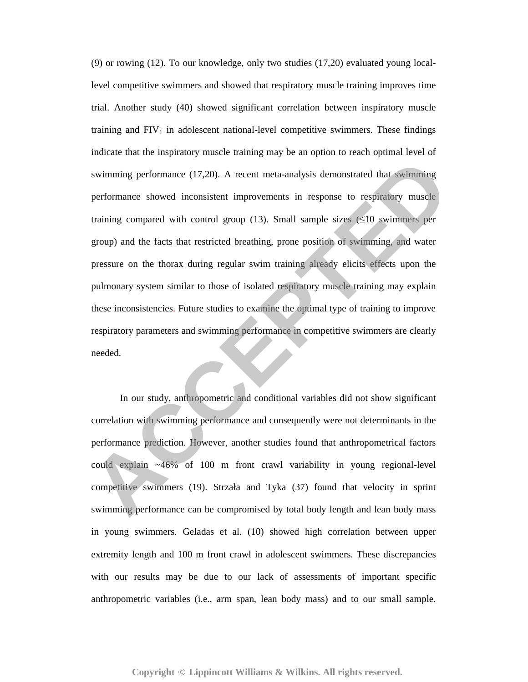(9) or rowing (12). To our knowledge, only two studies (17,20) evaluated young locallevel competitive swimmers and showed that respiratory muscle training improves time trial. Another study (40) showed significant correlation between inspiratory muscle training and  $FIV_1$  in adolescent national-level competitive swimmers. These findings indicate that the inspiratory muscle training may be an option to reach optimal level of swimming performance (17,20). A recent meta-analysis demonstrated that swimming performance showed inconsistent improvements in response to respiratory muscle training compared with control group (13). Small sample sizes  $(\leq 10$  swimmers per group) and the facts that restricted breathing, prone position of swimming, and water pressure on the thorax during regular swim training already elicits effects upon the pulmonary system similar to those of isolated respiratory muscle training may explain these inconsistencies. Future studies to examine the optimal type of training to improve respiratory parameters and swimming performance in competitive swimmers are clearly needed. **Example 19 Symman System since (17,20).** A recent meta-analysis demonstrated that swimming performance showed inconsistent improvements in response to respiratory muscle training compared with control group (13). Small sa

 In our study, anthropometric and conditional variables did not show significant correlation with swimming performance and consequently were not determinants in the performance prediction. However, another studies found that anthropometrical factors could explain ~46% of 100 m front crawl variability in young regional-level competitive swimmers (19). Strzała and Tyka (37) found that velocity in sprint swimming performance can be compromised by total body length and lean body mass in young swimmers. Geladas et al. (10) showed high correlation between upper extremity length and 100 m front crawl in adolescent swimmers. These discrepancies with our results may be due to our lack of assessments of important specific anthropometric variables (i.e., arm span, lean body mass) and to our small sample.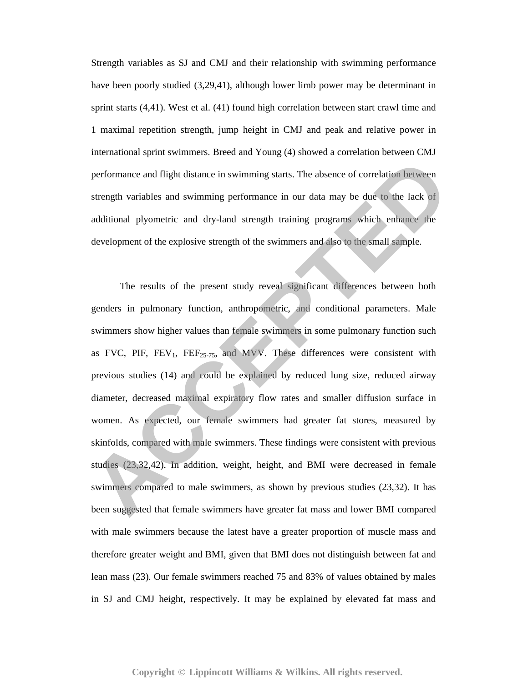Strength variables as SJ and CMJ and their relationship with swimming performance have been poorly studied (3,29,41), although lower limb power may be determinant in sprint starts (4,41). West et al. (41) found high correlation between start crawl time and 1 maximal repetition strength, jump height in CMJ and peak and relative power in international sprint swimmers. Breed and Young (4) showed a correlation between CMJ performance and flight distance in swimming starts. The absence of correlation between strength variables and swimming performance in our data may be due to the lack of additional plyometric and dry-land strength training programs which enhance the development of the explosive strength of the swimmers and also to the small sample.

The results of the present study reveal significant differences between both genders in pulmonary function, anthropometric, and conditional parameters. Male swimmers show higher values than female swimmers in some pulmonary function such as FVC, PIF,  $FEV_1$ ,  $FEF_{25-75}$ , and MVV. These differences were consistent with previous studies (14) and could be explained by reduced lung size, reduced airway diameter, decreased maximal expiratory flow rates and smaller diffusion surface in women. As expected, our female swimmers had greater fat stores, measured by skinfolds, compared with male swimmers. These findings were consistent with previous studies (23,32,42). In addition, weight, height, and BMI were decreased in female swimmers compared to male swimmers, as shown by previous studies (23,32). It has been suggested that female swimmers have greater fat mass and lower BMI compared with male swimmers because the latest have a greater proportion of muscle mass and therefore greater weight and BMI, given that BMI does not distinguish between fat and lean mass (23). Our female swimmers reached 75 and 83% of values obtained by males in SJ and CMJ height, respectively. It may be explained by elevated fat mass and performance and flight distance in swimming starts. The absence of correlation between<br>strength variables and swimming performance in our data may be due to the lack or<br>additional plyometric and dry-land strength training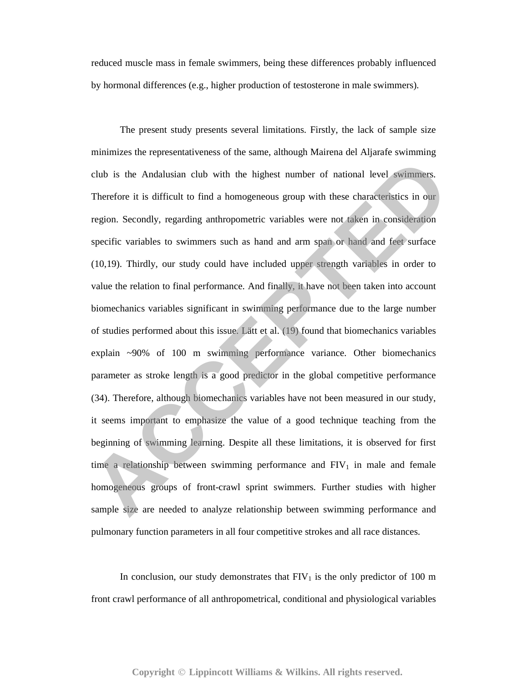reduced muscle mass in female swimmers, being these differences probably influenced by hormonal differences (e.g., higher production of testosterone in male swimmers).

 The present study presents several limitations. Firstly, the lack of sample size minimizes the representativeness of the same, although Mairena del Aljarafe swimming club is the Andalusian club with the highest number of national level swimmers. Therefore it is difficult to find a homogeneous group with these characteristics in our region. Secondly, regarding anthropometric variables were not taken in consideration specific variables to swimmers such as hand and arm span or hand and feet surface (10,19). Thirdly, our study could have included upper strength variables in order to value the relation to final performance. And finally, it have not been taken into account biomechanics variables significant in swimming performance due to the large number of studies performed about this issue. Lätt et al. (19) found that biomechanics variables explain ~90% of 100 m swimming performance variance. Other biomechanics parameter as stroke length is a good predictor in the global competitive performance (34). Therefore, although biomechanics variables have not been measured in our study, it seems important to emphasize the value of a good technique teaching from the beginning of swimming learning. Despite all these limitations, it is observed for first time a relationship between swimming performance and  $FIV_1$  in male and female homogeneous groups of front-crawl sprint swimmers. Further studies with higher sample size are needed to analyze relationship between swimming performance and pulmonary function parameters in all four competitive strokes and all race distances. club is the Andalusian club with the highest number of national level swimmers.<br>Therefore it is difficult to find a homogeneous group with these characteristics in our<br>region. Secondly, regarding anthropometric variables w

In conclusion, our study demonstrates that  $FIV_1$  is the only predictor of 100 m front crawl performance of all anthropometrical, conditional and physiological variables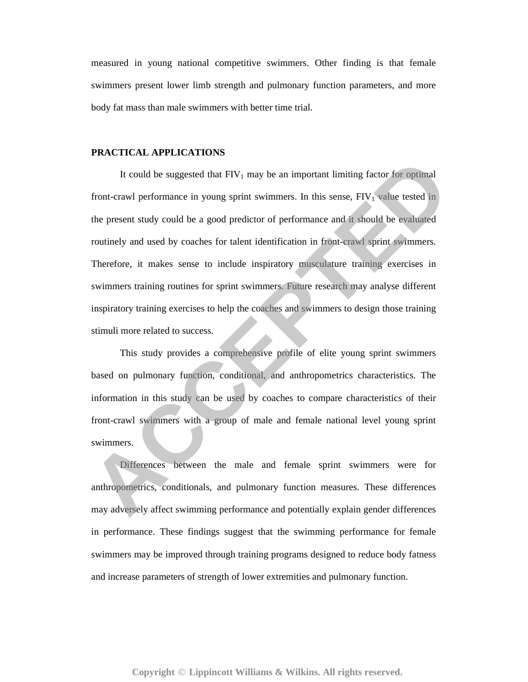measured in young national competitive swimmers. Other finding is that female swimmers present lower limb strength and pulmonary function parameters, and more body fat mass than male swimmers with better time trial.

## **PRACTICAL APPLICATIONS**

It could be suggested that  $FIV_1$  may be an important limiting factor for optimal front-crawl performance in young sprint swimmers. In this sense,  $FIV<sub>1</sub>$  value tested in the present study could be a good predictor of performance and it should be evaluated routinely and used by coaches for talent identification in front-crawl sprint swimmers. Therefore, it makes sense to include inspiratory musculature training exercises in swimmers training routines for sprint swimmers. Future research may analyse different inspiratory training exercises to help the coaches and swimmers to design those training stimuli more related to success. It could be suggested that FIV<sub>1</sub> may be an important limiting factor for optimal<br>
front-crawl performance in young sprint swimmers. In this sense, FIV<sub>1</sub> value tested in<br>
the present study could be a good predictor of per

 This study provides a comprehensive profile of elite young sprint swimmers based on pulmonary function, conditional, and anthropometrics characteristics. The information in this study can be used by coaches to compare characteristics of their front-crawl swimmers with a group of male and female national level young sprint swimmers.

 Differences between the male and female sprint swimmers were for anthropometrics, conditionals, and pulmonary function measures. These differences may adversely affect swimming performance and potentially explain gender differences in performance. These findings suggest that the swimming performance for female swimmers may be improved through training programs designed to reduce body fatness and increase parameters of strength of lower extremities and pulmonary function.

Copyright © Lippincott Williams & Wilkins. All rights reserved.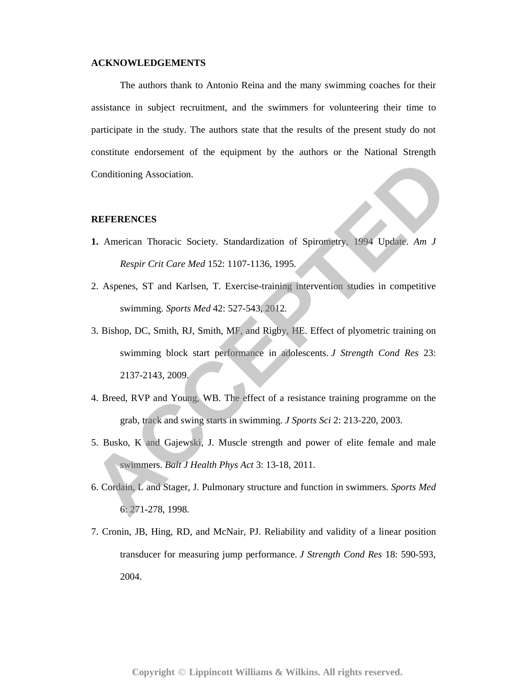## **ACKNOWLEDGEMENTS**

The authors thank to Antonio Reina and the many swimming coaches for their assistance in subject recruitment, and the swimmers for volunteering their time to participate in the study. The authors state that the results of the present study do not constitute endorsement of the equipment by the authors or the National Strength Conditioning Association.

## **REFERENCES**

- **1.** American Thoracic Society. Standardization of Spirometry, 1994 Update. *Am J Respir Crit Care Med* 152: 1107-1136, 1995.
- 2. Aspenes, ST and Karlsen, T. Exercise-training intervention studies in competitive swimming. *Sports Med* 42: 527-543, 2012.
- 3. Bishop, DC, Smith, RJ, Smith, MF, and Rigby, HE. Effect of plyometric training on swimming block start performance in adolescents. *J Strength Cond Res* 23: 2137-2143, 2009. Conditioning Association.<br> **ACCEPTERENCES**<br> **A.** American Thoracic Society. Standardization of Spiromerry. 1994 Update. Am J<br> *Respir Crit Care Med* 152: 1107-1136, 1995.<br>
2. Aspense, ST and Karlsen, T. Exercis-training in
- 4. Breed, RVP and Young, WB. The effect of a resistance training programme on the grab, track and swing starts in swimming. *J Sports Sci* 2: 213-220, 2003.
- 5. Busko, K and Gajewski, J. Muscle strength and power of elite female and male swimmers. *Balt J Health Phys Act* 3: 13-18, 2011.
- 6. Cordain, L and Stager, J. Pulmonary structure and function in swimmers. *Sports Med* 6: 271-278, 1998.
- 7. Cronin, JB, Hing, RD, and McNair, PJ. Reliability and validity of a linear position transducer for measuring jump performance. *J Strength Cond Res* 18: 590-593, 2004.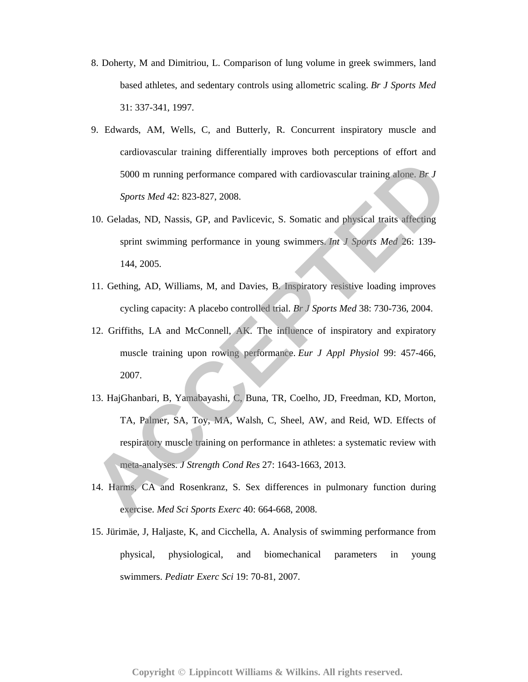- 8. Doherty, M and Dimitriou, L. Comparison of lung volume in greek swimmers, land based athletes, and sedentary controls using allometric scaling. *Br J Sports Med* 31: 337-341, 1997.
- 9. Edwards, AM, Wells, C, and Butterly, R. Concurrent inspiratory muscle and cardiovascular training differentially improves both perceptions of effort and 5000 m running performance compared with cardiovascular training alone. *Br J Sports Med* 42: 823-827, 2008.
- 10. Geladas, ND, Nassis, GP, and Pavlicevic, S. Somatic and physical traits affecting sprint swimming performance in young swimmers. *Int J Sports Med* 26: 139- 144, 2005.
- 11. Gething, AD, Williams, M, and Davies, B. Inspiratory resistive loading improves cycling capacity: A placebo controlled trial. *Br J Sports Med* 38: 730-736, 2004.
- 12. Griffiths, LA and McConnell, AK. The influence of inspiratory and expiratory muscle training upon rowing performance. *Eur J Appl Physiol* 99: 457-466, 2007.
- 13. HajGhanbari, B, Yamabayashi, C, Buna, TR, Coelho, JD, Freedman, KD, Morton, TA, Palmer, SA, Toy, MA, Walsh, C, Sheel, AW, and Reid, WD. Effects of respiratory muscle training on performance in athletes: a systematic review with meta-analyses. *J Strength Cond Res* 27: 1643-1663, 2013. 5000 m running performance compared with cardiovascular training alone. *Br J*<br>*Sports Med 42:* 823-827, 2008.<br>10. Geladas, ND. Nassis, GP, and Pavlicevic, S. Somatic and physical traits affecting<br>sprint swimming performan
- 14. Harms, CA and Rosenkranz, S. Sex differences in pulmonary function during exercise. *Med Sci Sports Exerc* 40: 664-668, 2008.
- 15. Jürimäe, J, Haljaste, K, and Cicchella, A. Analysis of swimming performance from physical, physiological, and biomechanical parameters in young swimmers. *Pediatr Exerc Sci* 19: 70-81, 2007.

Copyright © Lippincott Williams & Wilkins. All rights reserved.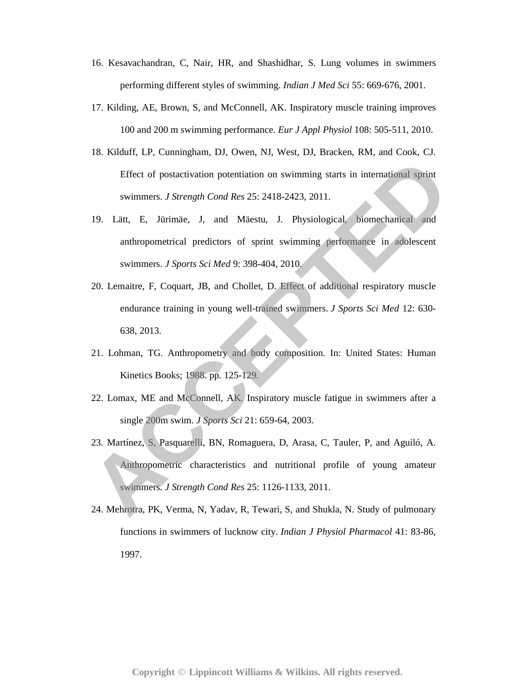- 16. Kesavachandran, C, Nair, HR, and Shashidhar, S. Lung volumes in swimmers performing different styles of swimming. *Indian J Med Sci* 55: 669-676, 2001.
- 17. Kilding, AE, Brown, S, and McConnell, AK. Inspiratory muscle training improves 100 and 200 m swimming performance. *Eur J Appl Physiol* 108: 505-511, 2010.
- 18. Kilduff, LP, Cunningham, DJ, Owen, NJ, West, DJ, Bracken, RM, and Cook, CJ. Effect of postactivation potentiation on swimming starts in international sprint swimmers. *J Strength Cond Res* 25: 2418-2423, 2011.
- 19. Lätt, E, Jürimäe, J, and Mäestu, J. Physiological, biomechanical and anthropometrical predictors of sprint swimming performance in adolescent swimmers. *J Sports Sci Med* 9: 398-404, 2010.
- 20. Lemaitre, F, Coquart, JB, and Chollet, D. Effect of additional respiratory muscle endurance training in young well-trained swimmers. *J Sports Sci Med* 12: 630- 638, 2013. Effect of postactivation potentiation on swimming starts in international sprint<br>swimmers. *J Strength Cond Res* 25: 2418-2423, 2011.<br>
19. Lätt, E, Järimäe, J, and Mäestu, J. Physiological, biomechanical and<br>
anthropometri
- 21. Lohman, TG. Anthropometry and body composition. In: United States: Human Kinetics Books; 1988. pp. 125-129.
- 22. Lomax, ME and McConnell, AK. Inspiratory muscle fatigue in swimmers after a single 200m swim. *J Sports Sci* 21: 659-64, 2003.
- 23. Martínez, S, Pasquarelli, BN, Romaguera, D, Arasa, C, Tauler, P, and Aguiló, A. Anthropometric characteristics and nutritional profile of young amateur swimmers*. J Strength Cond Res* 25: 1126-1133, 2011.
- 24. Mehrotra, PK, Verma, N, Yadav, R, Tewari, S, and Shukla, N. Study of pulmonary functions in swimmers of lucknow city. *Indian J Physiol Pharmacol* 41: 83-86, 1997.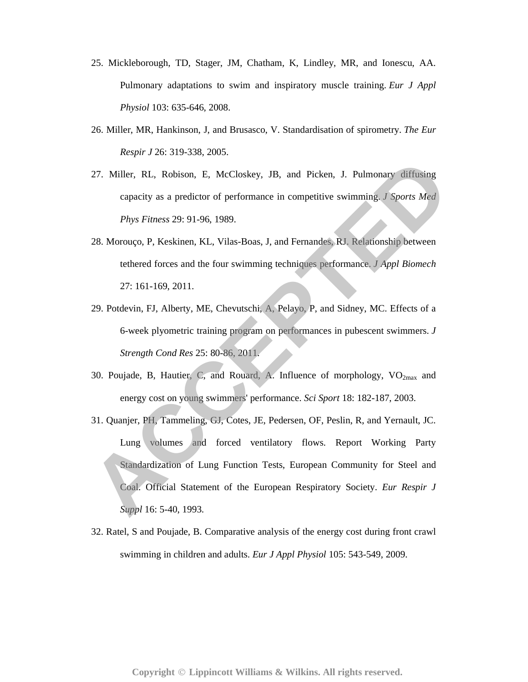- 25. Mickleborough, TD, Stager, JM, Chatham, K, Lindley, MR, and Ionescu, AA. Pulmonary adaptations to swim and inspiratory muscle training. *Eur J Appl Physiol* 103: 635-646, 2008.
- 26. Miller, MR, Hankinson, J, and Brusasco, V. Standardisation of spirometry. *The Eur Respir J* 26: 319-338, 2005.
- 27. Miller, RL, Robison, E, McCloskey, JB, and Picken, J. Pulmonary diffusing capacity as a predictor of performance in competitive swimming. *J Sports Med Phys Fitness* 29: 91-96, 1989.
- 28. Morouço, P, Keskinen, KL, Vilas-Boas, J, and Fernandes, RJ. Relationship between tethered forces and the four swimming techniques performance. *J Appl Biomech* 27: 161-169, 2011.
- 29. Potdevin, FJ, Alberty, ME, Chevutschi, A, Pelayo, P, and Sidney, MC. Effects of a 6-week plyometric training program on performances in pubescent swimmers. *J Strength Cond Res* 25: 80-86, 2011.
- 30. Poujade, B, Hautier, C, and Rouard, A. Influence of morphology,  $VO<sub>2max</sub>$  and energy cost on young swimmers' performance. *Sci Sport* 18: 182-187, 2003.
- 31. Quanjer, PH, Tammeling, GJ, Cotes, JE, Pedersen, OF, Peslin, R, and Yernault, JC. Lung volumes and forced ventilatory flows. Report Working Party Standardization of Lung Function Tests, European Community for Steel and Coal. Official Statement of the European Respiratory Society. *Eur Respir J Suppl* 16: 5-40, 1993. 27. Miller, RL, Robison, E, McCloskey, JB, and Picken, J. Pulmonary diffusing<br>capacity as a predictor of performance in competitive swimming. J Sports Med<br>Phys Fitness 29: 91-96, 1989.<br>28. Morouço. P. Keskinen, KL, Vilas-B
- 32. Ratel, S and Poujade, B. Comparative analysis of the energy cost during front crawl swimming in children and adults. *Eur J Appl Physiol* 105: 543-549, 2009.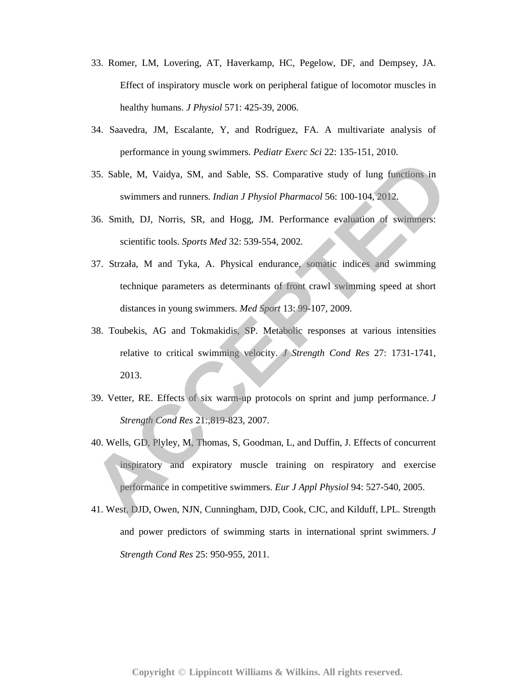- 33. Romer, LM, Lovering, AT, Haverkamp, HC, Pegelow, DF, and Dempsey, JA. Effect of inspiratory muscle work on peripheral fatigue of locomotor muscles in healthy humans. *J Physiol* 571: 425-39, 2006.
- 34. Saavedra, JM, Escalante, Y, and Rodríguez, FA. A multivariate analysis of performance in young swimmers. *Pediatr Exerc Sci* 22: 135-151, 2010.
- 35. Sable, M, Vaidya, SM, and Sable, SS. Comparative study of lung functions in swimmers and runners. *Indian J Physiol Pharmacol* 56: 100-104, 2012.
- 36. Smith, DJ, Norris, SR, and Hogg, JM. Performance evaluation of swimmers: scientific tools. *Sports Med* 32: 539-554, 2002.
- 37. Strzała, M and Tyka, A. Physical endurance, somatic indices and swimming technique parameters as determinants of front crawl swimming speed at short distances in young swimmers. *Med Sport* 13: 99-107, 2009. 35. Sable, M. Vaidya, SM, and Sable, SS. Comparative study of lung functions in<br>swimmers and runners. *Indian J Physiol Pharmacol* 56: 100-104, 2012<br>36. Smith, DJ, Norris, SR, and Hogg, IM. Performance evaluation of swimme
- 38. Toubekis, AG and Tokmakidis, SP. Metabolic responses at various intensities relative to critical swimming velocity. *J Strength Cond Res* 27: 1731-1741, 2013.
- 39. Vetter, RE. Effects of six warm-up protocols on sprint and jump performance. *J Strength Cond Res* 21:,819-823, 2007.
- 40. Wells, GD, Plyley, M, Thomas, S, Goodman, L, and Duffin, J. Effects of concurrent inspiratory and expiratory muscle training on respiratory and exercise performance in competitive swimmers. *Eur J Appl Physiol* 94: 527-540, 2005.
- 41. West, DJD, Owen, NJN, Cunningham, DJD, Cook, CJC, and Kilduff, LPL. Strength and power predictors of swimming starts in international sprint swimmers. *J Strength Cond Res* 25: 950-955, 2011.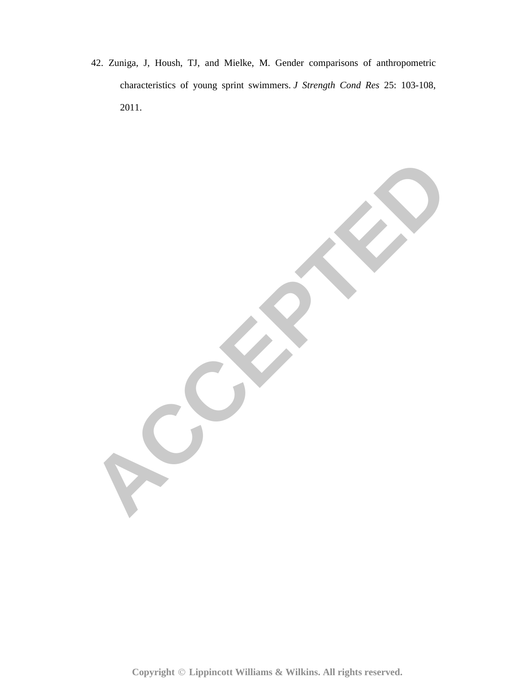42. Zuniga, J, Housh, TJ, and Mielke, M. Gender comparisons of anthropometric characteristics of young sprint swimmers. *J Strength Cond Res* 25: 103-108, 2011.

**ACCEPTED** 

Copyright © Lippincott Williams & Wilkins. All rights reserved.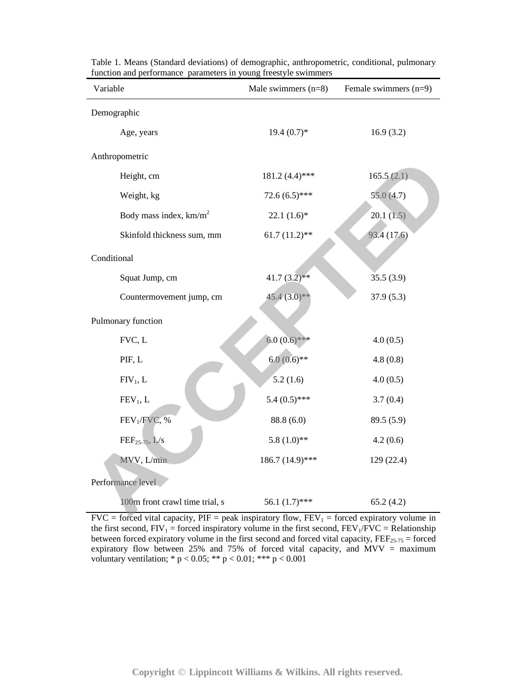| Male swimmers $(n=8)$ | Female swimmers $(n=9)$ |  |  |  |
|-----------------------|-------------------------|--|--|--|
|                       |                         |  |  |  |
| $19.4(0.7)*$          | 16.9(3.2)               |  |  |  |
|                       |                         |  |  |  |
| $181.2(4.4)$ ***      | 165.5(2.1)              |  |  |  |
| $72.6(6.5)$ ***       | 55.0(4.7)               |  |  |  |
| $22.1(1.6)*$          | 20.1(1.5)               |  |  |  |
| $61.7(11.2)$ **       | 93.4 (17.6)             |  |  |  |
|                       |                         |  |  |  |
| $41.7(3.2)$ **        | 35.5(3.9)               |  |  |  |
| $45.4(3.0)**$         | 37.9(5.3)               |  |  |  |
|                       |                         |  |  |  |
| $6.0(0.6)$ ***        | 4.0(0.5)                |  |  |  |
| $6.0(0.6)$ **         | 4.8(0.8)                |  |  |  |
| 5.2(1.6)              | 4.0(0.5)                |  |  |  |
| $5.4(0.5)$ ***        | 3.7(0.4)                |  |  |  |
| 88.8 (6.0)            | 89.5 (5.9)              |  |  |  |
| $5.8(1.0)$ **         | 4.2(0.6)                |  |  |  |
| 186.7 (14.9)***       | 129(22.4)               |  |  |  |
|                       |                         |  |  |  |
| 56.1 $(1.7)$ ***      | 65.2(4.2)               |  |  |  |
|                       |                         |  |  |  |

Table 1. Means (Standard deviations) of demographic, anthropometric, conditional, pulmonary function and performance parameters in young freestyle swimmers

 $FVC = forced vital capacity, PIF = peak inspiratory flow, FEV<sub>1</sub> = forced expiratory volume in$ the first second,  $FIV_1$  = forced inspiratory volume in the first second,  $FEV_1/FVC$  = Relationship between forced expiratory volume in the first second and forced vital capacity,  $\text{FEF}_{25\text{-}75} =$  forced expiratory flow between 25% and 75% of forced vital capacity, and  $MVV =$  maximum voluntary ventilation;  $* p < 0.05$ ;  $** p < 0.01$ ;  $*** p < 0.001$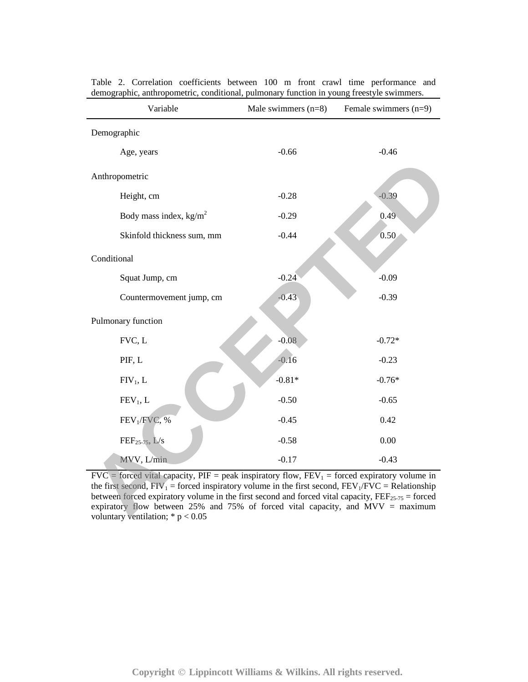| Variable                                                                                                                                                                                                                                                                                                                                                                                                                                             | Female swimmers $(n=9)$<br>Male swimmers $(n=8)$ |          |  |  |  |  |  |
|------------------------------------------------------------------------------------------------------------------------------------------------------------------------------------------------------------------------------------------------------------------------------------------------------------------------------------------------------------------------------------------------------------------------------------------------------|--------------------------------------------------|----------|--|--|--|--|--|
| Demographic                                                                                                                                                                                                                                                                                                                                                                                                                                          |                                                  |          |  |  |  |  |  |
| Age, years                                                                                                                                                                                                                                                                                                                                                                                                                                           | $-0.66$                                          | $-0.46$  |  |  |  |  |  |
| Anthropometric                                                                                                                                                                                                                                                                                                                                                                                                                                       |                                                  |          |  |  |  |  |  |
| Height, cm                                                                                                                                                                                                                                                                                                                                                                                                                                           | $-0.28$                                          | $-0.39$  |  |  |  |  |  |
| Body mass index, $\text{kg/m}^2$                                                                                                                                                                                                                                                                                                                                                                                                                     | $-0.29$                                          | 0.49     |  |  |  |  |  |
| Skinfold thickness sum, mm                                                                                                                                                                                                                                                                                                                                                                                                                           | $-0.44$                                          | 0.50     |  |  |  |  |  |
| Conditional                                                                                                                                                                                                                                                                                                                                                                                                                                          |                                                  |          |  |  |  |  |  |
| Squat Jump, cm                                                                                                                                                                                                                                                                                                                                                                                                                                       | $-0.24$                                          | $-0.09$  |  |  |  |  |  |
| Countermovement jump, cm                                                                                                                                                                                                                                                                                                                                                                                                                             | $-0.43$                                          | $-0.39$  |  |  |  |  |  |
| Pulmonary function                                                                                                                                                                                                                                                                                                                                                                                                                                   |                                                  |          |  |  |  |  |  |
| FVC, L                                                                                                                                                                                                                                                                                                                                                                                                                                               | $-0.08$                                          | $-0.72*$ |  |  |  |  |  |
| PIF, L                                                                                                                                                                                                                                                                                                                                                                                                                                               | $-0.16$                                          | $-0.23$  |  |  |  |  |  |
| $FIV_1, L$                                                                                                                                                                                                                                                                                                                                                                                                                                           | $-0.81*$                                         | $-0.76*$ |  |  |  |  |  |
| $FEV1$ , L                                                                                                                                                                                                                                                                                                                                                                                                                                           | $-0.50$                                          | $-0.65$  |  |  |  |  |  |
| FEV <sub>1</sub> /FVC, %                                                                                                                                                                                                                                                                                                                                                                                                                             | $-0.45$                                          | 0.42     |  |  |  |  |  |
| $\text{FEF}_{25-75}$ , L/s                                                                                                                                                                                                                                                                                                                                                                                                                           | $-0.58$                                          | 0.00     |  |  |  |  |  |
| MVV, L/min                                                                                                                                                                                                                                                                                                                                                                                                                                           | $-0.17$                                          | $-0.43$  |  |  |  |  |  |
| $FVC =$ forced vital capacity, PIF = peak inspiratory flow, $FEV_1 =$ forced expiratory volume in<br>the first second, $FIV_1$ = forced inspiratory volume in the first second, $FEV_1/FVC$ = Relationship<br>between forced expiratory volume in the first second and forced vital capacity, $FEF_{25-75}$ = forced<br>expiratory flow between $25\%$ and $75\%$ of forced vital capacity, and MVV = maximum<br>voluntary ventilation: $* n < 0.05$ |                                                  |          |  |  |  |  |  |

Table 2. Correlation coefficients between 100 m front crawl time performance and demographic, anthropometric, conditional, pulmonary function in young freestyle swimmers.